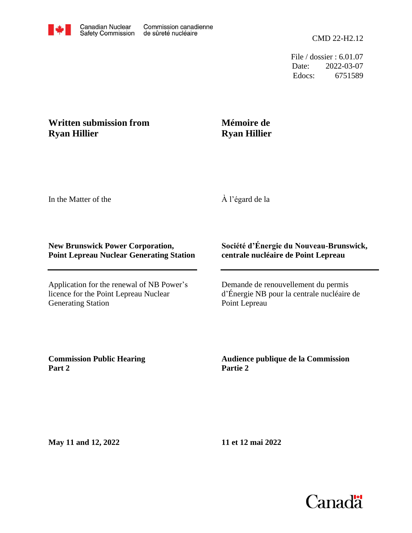

File / dossier : 6.01.07 Date: 2022-03-07 Edocs: 6751589

## **Written submission from Ryan Hillier**

## **Mémoire de Ryan Hillier**

In the Matter of the

À l'égard de la

## **New Brunswick Power Corporation, Point Lepreau Nuclear Generating Station**

Application for the renewal of NB Power's licence for the Point Lepreau Nuclear Generating Station

## **Société d'Énergie du Nouveau-Brunswick, centrale nucléaire de Point Lepreau**

Demande de renouvellement du permis d'Énergie NB pour la centrale nucléaire de Point Lepreau

**Commission Public Hearing Part 2**

**Audience publique de la Commission Partie 2**

**May 11 and 12, 2022**

**11 et 12 mai 2022**